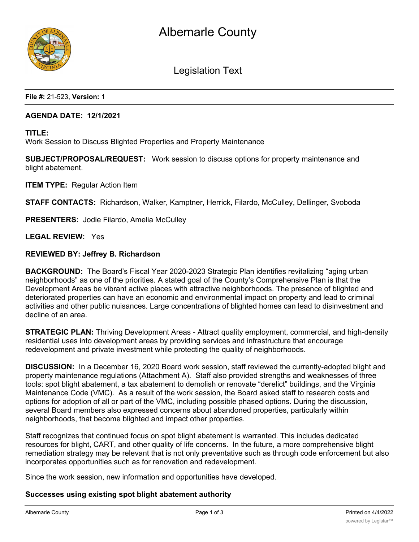



Legislation Text

**File #:** 21-523, **Version:** 1

### **AGENDA DATE: 12/1/2021**

**TITLE:**

Work Session to Discuss Blighted Properties and Property Maintenance

**SUBJECT/PROPOSAL/REQUEST:** Work session to discuss options for property maintenance and blight abatement.

**ITEM TYPE:** Regular Action Item

**STAFF CONTACTS:** Richardson, Walker, Kamptner, Herrick, Filardo, McCulley, Dellinger, Svoboda

**PRESENTERS:** Jodie Filardo, Amelia McCulley

**LEGAL REVIEW:** Yes

#### **REVIEWED BY: Jeffrey B. Richardson**

**BACKGROUND:** The Board's Fiscal Year 2020-2023 Strategic Plan identifies revitalizing "aging urban neighborhoods" as one of the priorities. A stated goal of the County's Comprehensive Plan is that the Development Areas be vibrant active places with attractive neighborhoods. The presence of blighted and deteriorated properties can have an economic and environmental impact on property and lead to criminal activities and other public nuisances. Large concentrations of blighted homes can lead to disinvestment and decline of an area.

**STRATEGIC PLAN:** Thriving Development Areas - Attract quality employment, commercial, and high-density residential uses into development areas by providing services and infrastructure that encourage redevelopment and private investment while protecting the quality of neighborhoods.

**DISCUSSION:** In a December 16, 2020 Board work session, staff reviewed the currently-adopted blight and property maintenance regulations (Attachment A). Staff also provided strengths and weaknesses of three tools: spot blight abatement, a tax abatement to demolish or renovate "derelict" buildings, and the Virginia Maintenance Code (VMC). As a result of the work session, the Board asked staff to research costs and options for adoption of all or part of the VMC, including possible phased options. During the discussion, several Board members also expressed concerns about abandoned properties, particularly within neighborhoods, that become blighted and impact other properties.

Staff recognizes that continued focus on spot blight abatement is warranted. This includes dedicated resources for blight, CART, and other quality of life concerns. In the future, a more comprehensive blight remediation strategy may be relevant that is not only preventative such as through code enforcement but also incorporates opportunities such as for renovation and redevelopment.

Since the work session, new information and opportunities have developed.

### **Successes using existing spot blight abatement authority**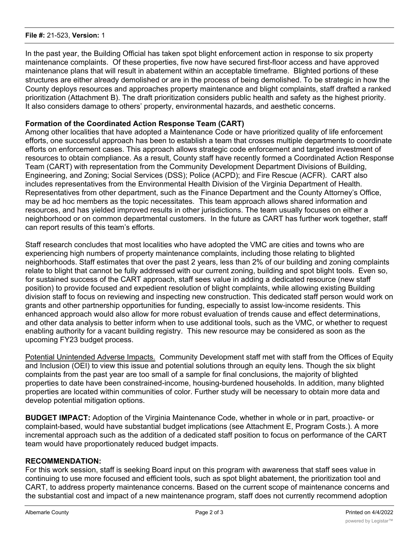#### **File #:** 21-523, **Version:** 1

In the past year, the Building Official has taken spot blight enforcement action in response to six property maintenance complaints. Of these properties, five now have secured first-floor access and have approved maintenance plans that will result in abatement within an acceptable timeframe. Blighted portions of these structures are either already demolished or are in the process of being demolished. To be strategic in how the County deploys resources and approaches property maintenance and blight complaints, staff drafted a ranked prioritization (Attachment B). The draft prioritization considers public health and safety as the highest priority. It also considers damage to others' property, environmental hazards, and aesthetic concerns.

# **Formation of the Coordinated Action Response Team (CART)**

Among other localities that have adopted a Maintenance Code or have prioritized quality of life enforcement efforts, one successful approach has been to establish a team that crosses multiple departments to coordinate efforts on enforcement cases. This approach allows strategic code enforcement and targeted investment of resources to obtain compliance. As a result, County staff have recently formed a Coordinated Action Response Team (CART) with representation from the Community Development Department Divisions of Building, Engineering, and Zoning; Social Services (DSS); Police (ACPD); and Fire Rescue (ACFR). CART also includes representatives from the Environmental Health Division of the Virginia Department of Health. Representatives from other department, such as the Finance Department and the County Attorney's Office, may be ad hoc members as the topic necessitates. This team approach allows shared information and resources, and has yielded improved results in other jurisdictions. The team usually focuses on either a neighborhood or on common departmental customers. In the future as CART has further work together, staff can report results of this team's efforts.

Staff research concludes that most localities who have adopted the VMC are cities and towns who are experiencing high numbers of property maintenance complaints, including those relating to blighted neighborhoods. Staff estimates that over the past 2 years, less than 2% of our building and zoning complaints relate to blight that cannot be fully addressed with our current zoning, building and spot blight tools. Even so, for sustained success of the CART approach, staff sees value in adding a dedicated resource (new staff position) to provide focused and expedient resolution of blight complaints, while allowing existing Building division staff to focus on reviewing and inspecting new construction. This dedicated staff person would work on grants and other partnership opportunities for funding, especially to assist low-income residents. This enhanced approach would also allow for more robust evaluation of trends cause and effect determinations, and other data analysis to better inform when to use additional tools, such as the VMC, or whether to request enabling authority for a vacant building registry. This new resource may be considered as soon as the upcoming FY23 budget process.

Potential Unintended Adverse Impacts. Community Development staff met with staff from the Offices of Equity and Inclusion (OEI) to view this issue and potential solutions through an equity lens. Though the six blight complaints from the past year are too small of a sample for final conclusions, the majority of blighted properties to date have been constrained-income, housing-burdened households. In addition, many blighted properties are located within communities of color. Further study will be necessary to obtain more data and develop potential mitigation options.

**BUDGET IMPACT:** Adoption of the Virginia Maintenance Code, whether in whole or in part, proactive- or complaint-based, would have substantial budget implications (see Attachment E, Program Costs.). A more incremental approach such as the addition of a dedicated staff position to focus on performance of the CART team would have proportionately reduced budget impacts.

# **RECOMMENDATION:**

For this work session, staff is seeking Board input on this program with awareness that staff sees value in continuing to use more focused and efficient tools, such as spot blight abatement, the prioritization tool and CART, to address property maintenance concerns. Based on the current scope of maintenance concerns and the substantial cost and impact of a new maintenance program, staff does not currently recommend adoption